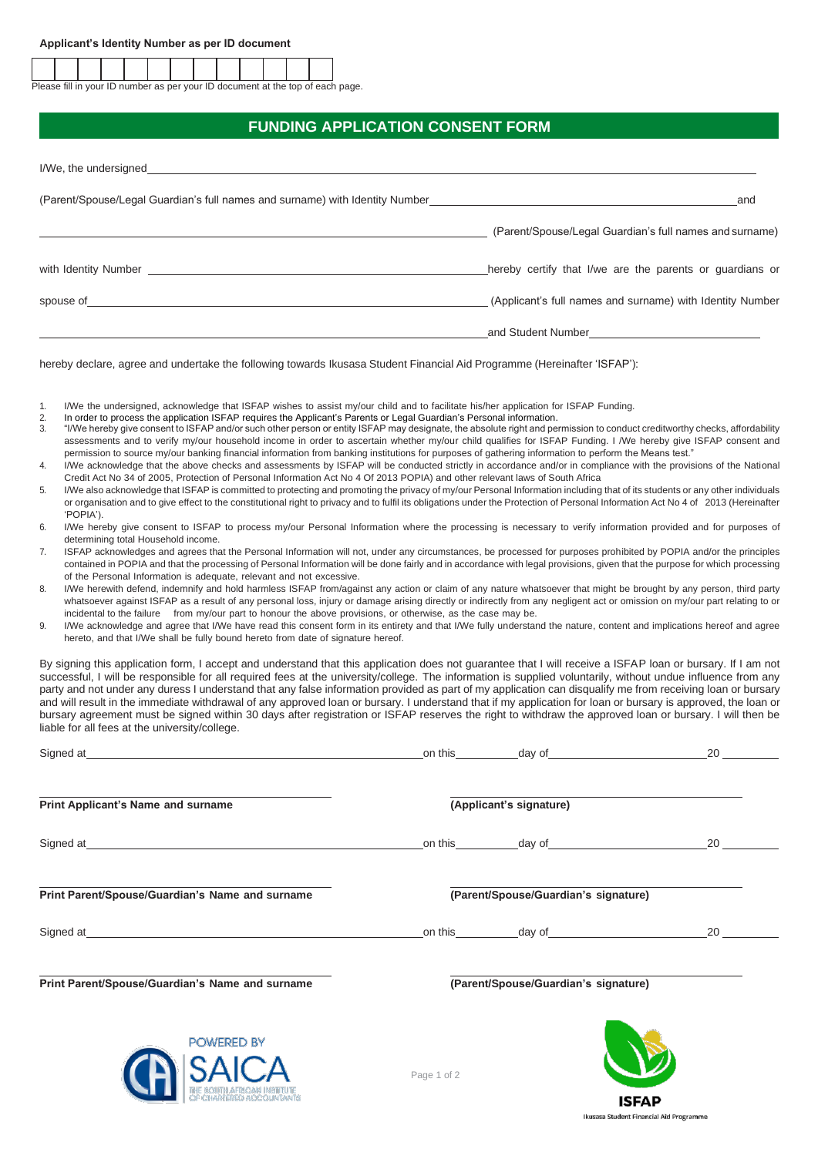Please fill in your ID number as per your ID document at the top of each page.

## **FUNDING APPLICATION CONSENT FORM**

| (Parent/Spouse/Legal Guardian's full names and surname) with Identity Number                                                                                                                                                   | and                                                       |
|--------------------------------------------------------------------------------------------------------------------------------------------------------------------------------------------------------------------------------|-----------------------------------------------------------|
|                                                                                                                                                                                                                                | (Parent/Spouse/Legal Guardian's full names and surname)   |
| with Identity Number and the state of the state of the state of the state of the state of the state of the state of the state of the state of the state of the state of the state of the state of the state of the state of th | hereby certify that I/we are the parents or guardians or  |
| spouse of the contract of the contract of the contract of the contract of the contract of the contract of the contract of the contract of the contract of the contract of the contract of the contract of the contract of the  | (Applicant's full names and surname) with Identity Number |
|                                                                                                                                                                                                                                | and Student Number<br><u>compressive</u>                  |

hereby declare, agree and undertake the following towards Ikusasa Student Financial Aid Programme (Hereinafter 'ISFAP'):

- 1. I/We the undersigned, acknowledge that ISFAP wishes to assist my/our child and to facilitate his/her application for ISFAP Funding.<br>2. In order to process the application ISFAP requires the Applicant's Parents or Legal
- 2. In order to process the application ISFAP requires the Applicant's Parents or Legal Guardian's Personal information.<br>3. "I/We hereby give consent to ISFAP and/or such other person or entity ISFAP may designate, the abso
- 3. "I/We hereby give consent to ISFAP and/or such other person or entity ISFAP may designate, the absolute right and permission to conduct creditworthy checks, affordability assessments and to verify my/our household income in order to ascertain whether my/our child qualifies for ISFAP Funding. I /We hereby give ISFAP consent and permission to source my/our banking financial information from banking institutions for purposes of gathering information to perform the Means test."
- 4. I/We acknowledge that the above checks and assessments by ISFAP will be conducted strictly in accordance and/or in compliance with the provisions of the National Credit Act No 34 of 2005, Protection of Personal Information Act No 4 Of 2013 POPIA) and other relevant laws of South Africa
- 5. I/We also acknowledge that ISFAP is committed to protecting and promoting the privacy of my/our Personal Information including that of its students or any other individuals or organisation and to give effect to the constitutional right to privacy and to fulfil its obligations under the Protection of Personal Information Act No 4 of 2013 (Hereinafter 'POPIA').
- 6. I/We hereby give consent to ISFAP to process my/our Personal Information where the processing is necessary to verify information provided and for purposes of determining total Household income.
- 7. ISFAP acknowledges and agrees that the Personal Information will not, under any circumstances, be processed for purposes prohibited by POPIA and/or the principles contained in POPIA and that the processing of Personal Information will be done fairly and in accordance with legal provisions, given that the purpose for which processing of the Personal Information is adequate, relevant and not excessive.
- 8. I/We herewith defend, indemnify and hold harmless ISFAP from/against any action or claim of any nature whatsoever that might be brought by any person, third party whatsoever against ISFAP as a result of any personal loss, injury or damage arising directly or indirectly from any negligent act or omission on my/our part relating to or incidental to the failure from my/our part to honour the above provisions, or otherwise, as the case may be.
- 9. I/We acknowledge and agree that I/We have read this consent form in its entirety and that I/We fully understand the nature, content and implications hereof and agree hereto, and that I/We shall be fully bound hereto from date of signature hereof.

By signing this application form, I accept and understand that this application does not guarantee that I will receive a ISFAP loan or bursary. If I am not successful, I will be responsible for all required fees at the university/college. The information is supplied voluntarily, without undue influence from any party and not under any duress I understand that any false information provided as part of my application can disqualify me from receiving loan or bursary and will result in the immediate withdrawal of any approved loan or bursary. I understand that if my application for loan or bursary is approved, the loan or bursary agreement must be signed within 30 days after registration or ISFAP reserves the right to withdraw the approved loan or bursary. I will then be liable for all fees at the university/college.

|                                                                                                                                                                                                                                     | _on this_____________ | day of the contract of the contract of the contract of the contract of the contract of the contract of the contract of the contract of the contract of the contract of the contract of the contract of the contract of the con | 20           |
|-------------------------------------------------------------------------------------------------------------------------------------------------------------------------------------------------------------------------------------|-----------------------|--------------------------------------------------------------------------------------------------------------------------------------------------------------------------------------------------------------------------------|--------------|
| Print Applicant's Name and surname                                                                                                                                                                                                  |                       | (Applicant's signature)                                                                                                                                                                                                        |              |
| Signed at the contract of the contract of the contract of the contract of the contract of the contract of the contract of the contract of the contract of the contract of the contract of the contract of the contract of the       |                       |                                                                                                                                                                                                                                |              |
| Print Parent/Spouse/Guardian's Name and surname                                                                                                                                                                                     |                       | (Parent/Spouse/Guardian's signature)                                                                                                                                                                                           |              |
| Signed at <u>Electronic Communication</u> and Communication and Communication and Communication and Communication and Communication and Communication and Communication and Communication and Communication and Communication and C |                       |                                                                                                                                                                                                                                |              |
| Print Parent/Spouse/Guardian's Name and surname                                                                                                                                                                                     |                       | (Parent/Spouse/Guardian's signature)                                                                                                                                                                                           |              |
| <b>POWERED BY</b><br><b>NCA</b>                                                                                                                                                                                                     | Page 1 of 2           |                                                                                                                                                                                                                                |              |
| OF CHARTERED ACCOUNTAN                                                                                                                                                                                                              |                       |                                                                                                                                                                                                                                | <b>ISFAP</b> |

Ikusasa Student Financial Aid Programme